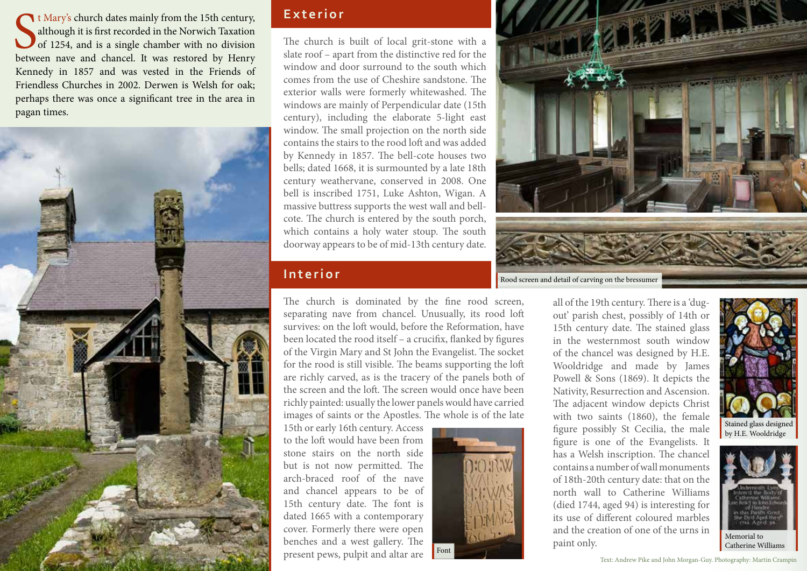t Mary's church dates mainly from the 15th century, although it is first recorded in the Norwich Taxation of 1254, and is a single chamber with no division between nave and chancel. It was restored by Henry It Mary's church dates mainly from the 15th century, although it is first recorded in the Norwich Taxation of 1254, and is a single chamber with no division Kennedy in 1857 and was vested in the Friends of Friendless Churches in 2002. Derwen is Welsh for oak; perhaps there was once a significant tree in the area in pagan times.



# **Exterior**

The church is built of local grit-stone with a slate roof – apart from the distinctive red for the window and door surround to the south which comes from the use of Cheshire sandstone. The exterior walls were formerly whitewashed. The windows are mainly of Perpendicular date (15th century), including the elaborate 5-light east window. The small projection on the north side contains the stairs to the rood loft and was added by Kennedy in 1857. The bell-cote houses two bells; dated 1668, it is surmounted by a late 18th century weathervane, conserved in 2008. One bell is inscribed 1751, Luke Ashton, Wigan. A massive buttress supports the west wall and bellcote. The church is entered by the south porch, which contains a holy water stoup. The south doorway appears to be of mid-13th century date.

## **I nterior**

The church is dominated by the fine rood screen, separating nave from chancel. Unusually, its rood loft survives: on the loft would, before the Reformation, have been located the rood itself – a crucifix, flanked by figures of the Virgin Mary and St John the Evangelist. The socket for the rood is still visible. The beams supporting the loft are richly carved, as is the tracery of the panels both of the screen and the loft. The screen would once have been richly painted: usually the lower panels would have carried images of saints or the Apostles. The whole is of the late

15th or early 16th century. Access to the loft would have been from stone stairs on the north side but is not now permitted. The arch-braced roof of the nave and chancel appears to be of 15th century date. The font is dated 1665 with a contemporary cover. Formerly there were open benches and a west gallery. The present pews, pulpit and altar are



Rood screen and detail of carving on the bressumer

all of the 19th century. There is a 'dugout' parish chest, possibly of 14th or 15th century date. The stained glass in the westernmost south window of the chancel was designed by H.E. Wooldridge and made by James Powell & Sons (1869). It depicts the Nativity, Resurrection and Ascension. The adjacent window depicts Christ with two saints (1860), the female figure possibly St Cecilia, the male figure is one of the Evangelists. It has a Welsh inscription. The chancel contains a number of wall monuments of 18th-20th century date: that on the north wall to Catherine Williams (died 1744, aged 94) is interesting for its use of different coloured marbles and the creation of one of the urns in paint only.



Stained glass designed by H.E. Wooldridge